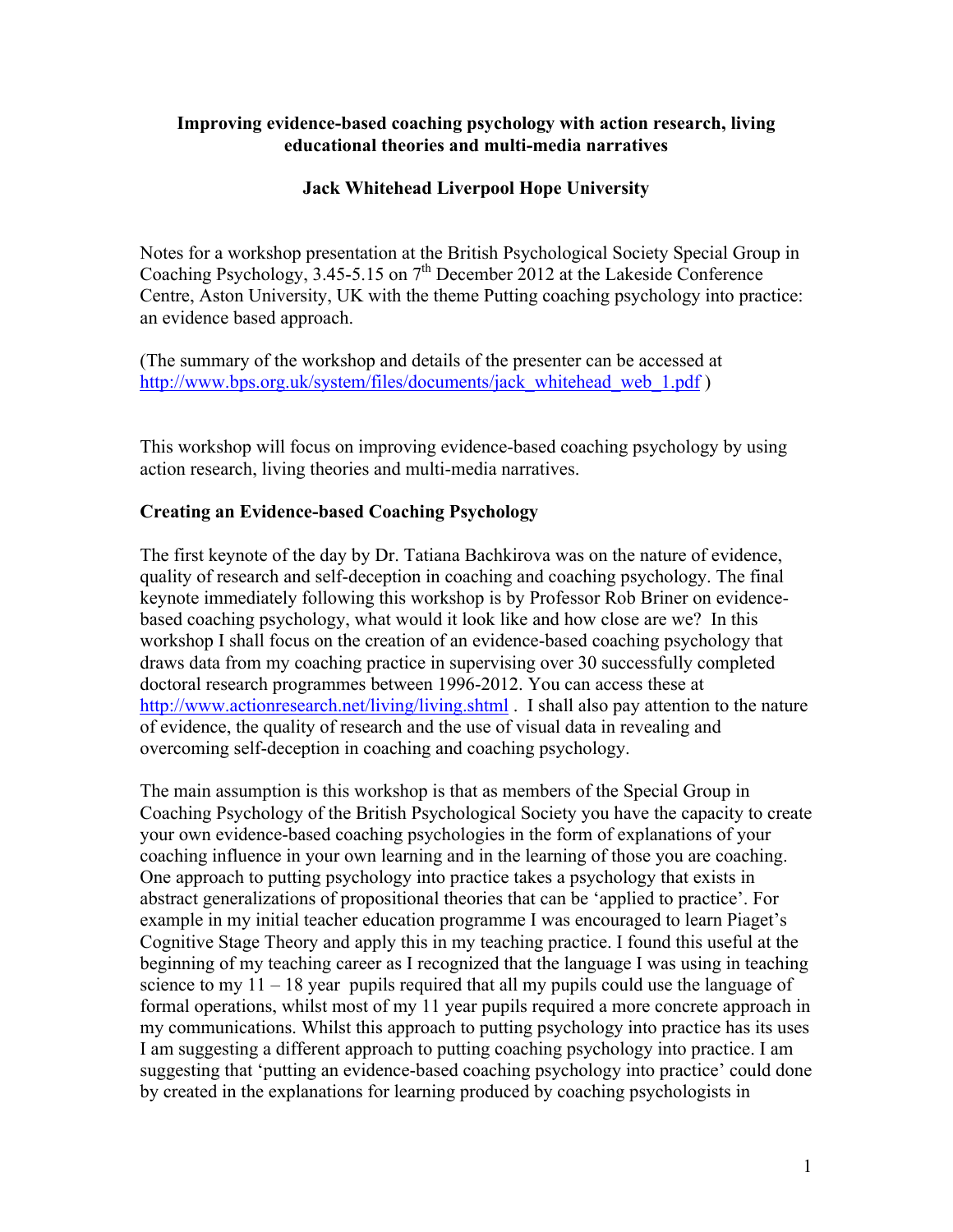#### **Improving evidence-based coaching psychology with action research, living educational theories and multi-media narratives**

# **Jack Whitehead Liverpool Hope University**

Notes for a workshop presentation at the British Psychological Society Special Group in Coaching Psychology, 3.45-5.15 on  $7<sup>th</sup>$  December 2012 at the Lakeside Conference Centre, Aston University, UK with the theme Putting coaching psychology into practice: an evidence based approach.

(The summary of the workshop and details of the presenter can be accessed at http://www.bps.org.uk/system/files/documents/jack\_whitehead\_web\_1.pdf )

This workshop will focus on improving evidence-based coaching psychology by using action research, living theories and multi-media narratives.

## **Creating an Evidence-based Coaching Psychology**

The first keynote of the day by Dr. Tatiana Bachkirova was on the nature of evidence, quality of research and self-deception in coaching and coaching psychology. The final keynote immediately following this workshop is by Professor Rob Briner on evidencebased coaching psychology, what would it look like and how close are we? In this workshop I shall focus on the creation of an evidence-based coaching psychology that draws data from my coaching practice in supervising over 30 successfully completed doctoral research programmes between 1996-2012. You can access these at http://www.actionresearch.net/living/living.shtml . I shall also pay attention to the nature of evidence, the quality of research and the use of visual data in revealing and overcoming self-deception in coaching and coaching psychology.

The main assumption is this workshop is that as members of the Special Group in Coaching Psychology of the British Psychological Society you have the capacity to create your own evidence-based coaching psychologies in the form of explanations of your coaching influence in your own learning and in the learning of those you are coaching. One approach to putting psychology into practice takes a psychology that exists in abstract generalizations of propositional theories that can be 'applied to practice'. For example in my initial teacher education programme I was encouraged to learn Piaget's Cognitive Stage Theory and apply this in my teaching practice. I found this useful at the beginning of my teaching career as I recognized that the language I was using in teaching science to my  $11 - 18$  year pupils required that all my pupils could use the language of formal operations, whilst most of my 11 year pupils required a more concrete approach in my communications. Whilst this approach to putting psychology into practice has its uses I am suggesting a different approach to putting coaching psychology into practice. I am suggesting that 'putting an evidence-based coaching psychology into practice' could done by created in the explanations for learning produced by coaching psychologists in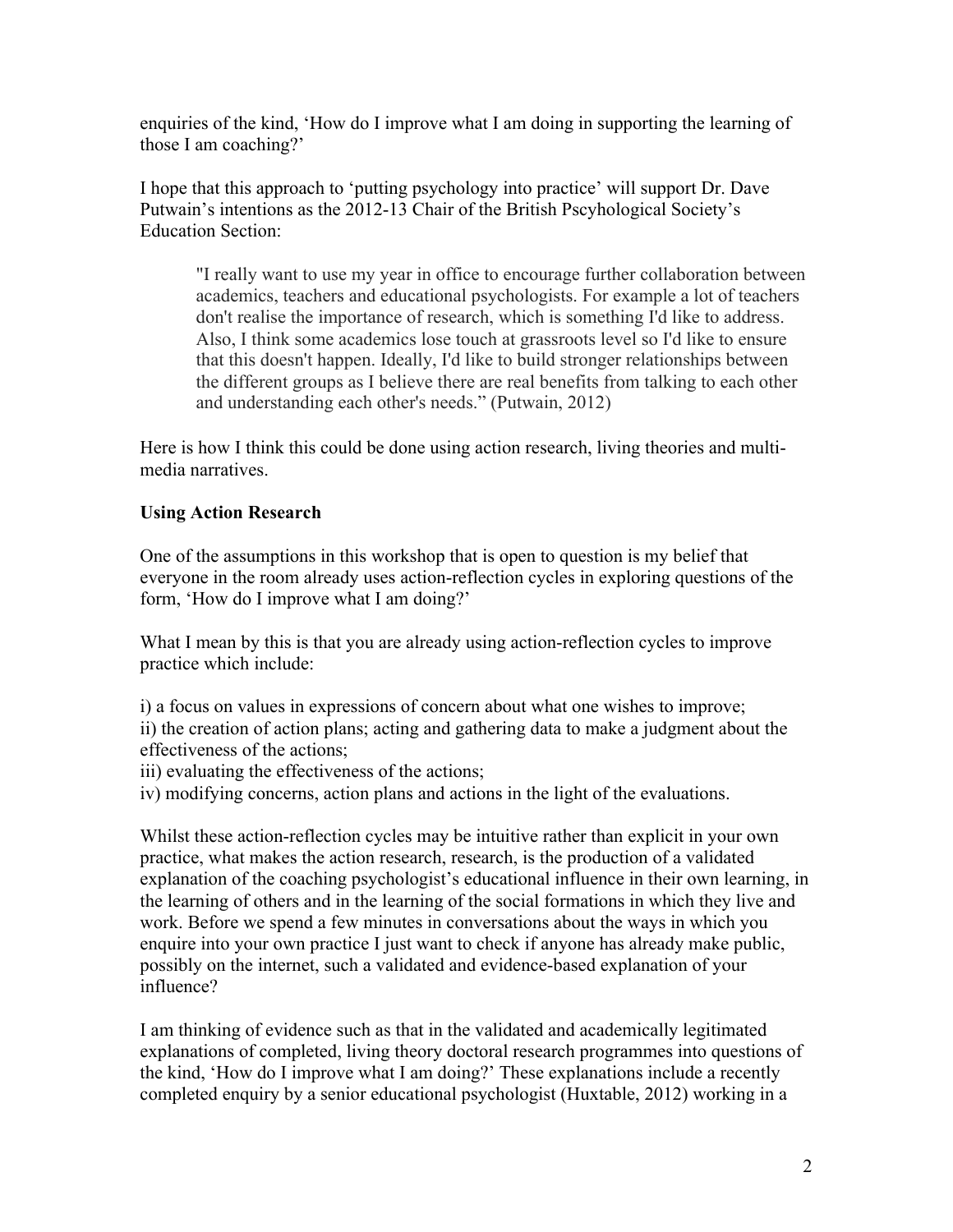enquiries of the kind, 'How do I improve what I am doing in supporting the learning of those I am coaching?'

I hope that this approach to 'putting psychology into practice' will support Dr. Dave Putwain's intentions as the 2012-13 Chair of the British Pscyhological Society's Education Section:

"I really want to use my year in office to encourage further collaboration between academics, teachers and educational psychologists. For example a lot of teachers don't realise the importance of research, which is something I'd like to address. Also, I think some academics lose touch at grassroots level so I'd like to ensure that this doesn't happen. Ideally, I'd like to build stronger relationships between the different groups as I believe there are real benefits from talking to each other and understanding each other's needs." (Putwain, 2012)

Here is how I think this could be done using action research, living theories and multimedia narratives.

## **Using Action Research**

One of the assumptions in this workshop that is open to question is my belief that everyone in the room already uses action-reflection cycles in exploring questions of the form, 'How do I improve what I am doing?'

What I mean by this is that you are already using action-reflection cycles to improve practice which include:

i) a focus on values in expressions of concern about what one wishes to improve; ii) the creation of action plans; acting and gathering data to make a judgment about the effectiveness of the actions;

- iii) evaluating the effectiveness of the actions;
- iv) modifying concerns, action plans and actions in the light of the evaluations.

Whilst these action-reflection cycles may be intuitive rather than explicit in your own practice, what makes the action research, research, is the production of a validated explanation of the coaching psychologist's educational influence in their own learning, in the learning of others and in the learning of the social formations in which they live and work. Before we spend a few minutes in conversations about the ways in which you enquire into your own practice I just want to check if anyone has already make public, possibly on the internet, such a validated and evidence-based explanation of your influence?

I am thinking of evidence such as that in the validated and academically legitimated explanations of completed, living theory doctoral research programmes into questions of the kind, 'How do I improve what I am doing?' These explanations include a recently completed enquiry by a senior educational psychologist (Huxtable, 2012) working in a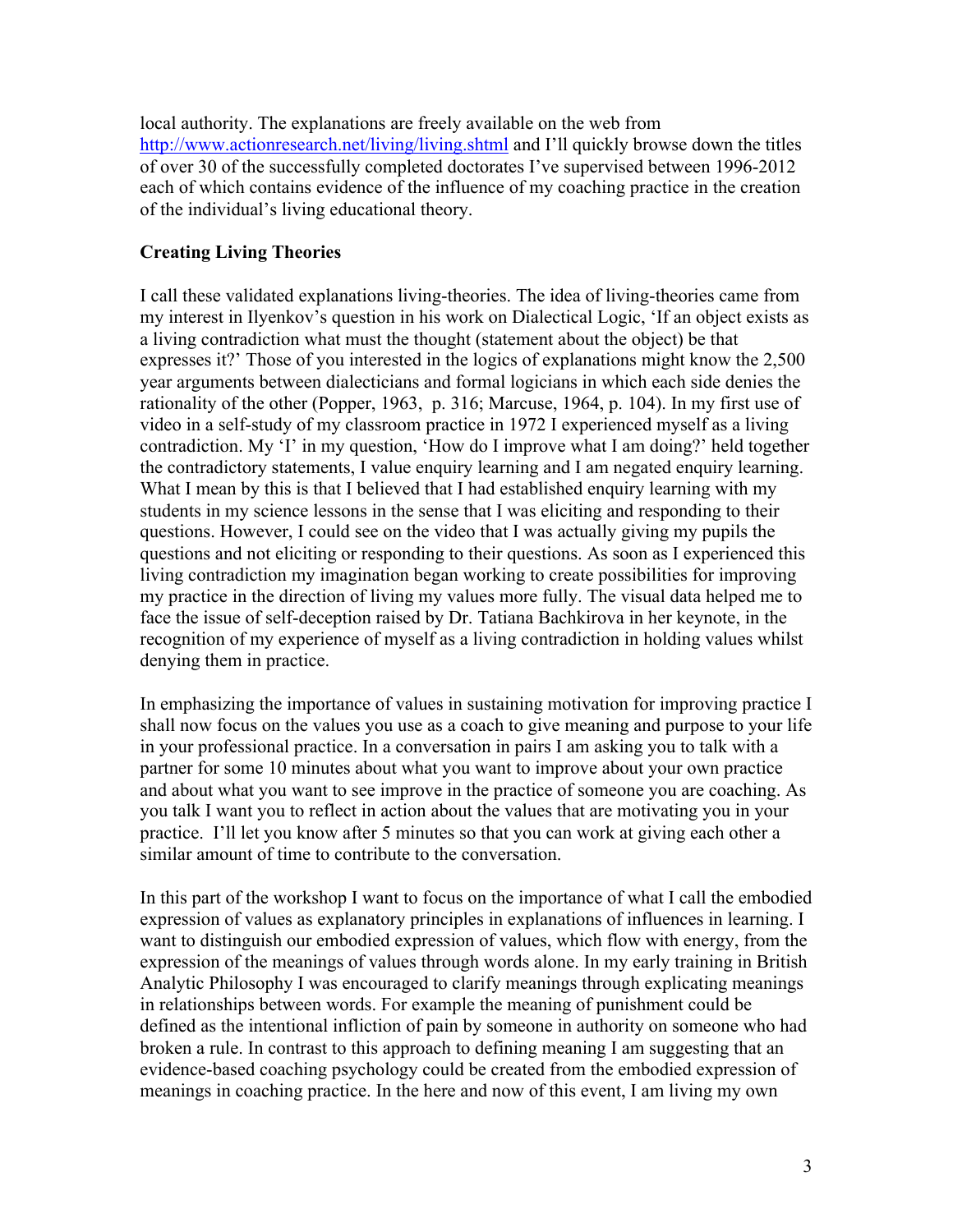local authority. The explanations are freely available on the web from http://www.actionresearch.net/living/living.shtml and I'll quickly browse down the titles of over 30 of the successfully completed doctorates I've supervised between 1996-2012 each of which contains evidence of the influence of my coaching practice in the creation of the individual's living educational theory.

# **Creating Living Theories**

I call these validated explanations living-theories. The idea of living-theories came from my interest in Ilyenkov's question in his work on Dialectical Logic, 'If an object exists as a living contradiction what must the thought (statement about the object) be that expresses it?' Those of you interested in the logics of explanations might know the 2,500 year arguments between dialecticians and formal logicians in which each side denies the rationality of the other (Popper, 1963, p. 316; Marcuse, 1964, p. 104). In my first use of video in a self-study of my classroom practice in 1972 I experienced myself as a living contradiction. My 'I' in my question, 'How do I improve what I am doing?' held together the contradictory statements, I value enquiry learning and I am negated enquiry learning. What I mean by this is that I believed that I had established enquiry learning with my students in my science lessons in the sense that I was eliciting and responding to their questions. However, I could see on the video that I was actually giving my pupils the questions and not eliciting or responding to their questions. As soon as I experienced this living contradiction my imagination began working to create possibilities for improving my practice in the direction of living my values more fully. The visual data helped me to face the issue of self-deception raised by Dr. Tatiana Bachkirova in her keynote, in the recognition of my experience of myself as a living contradiction in holding values whilst denying them in practice.

In emphasizing the importance of values in sustaining motivation for improving practice I shall now focus on the values you use as a coach to give meaning and purpose to your life in your professional practice. In a conversation in pairs I am asking you to talk with a partner for some 10 minutes about what you want to improve about your own practice and about what you want to see improve in the practice of someone you are coaching. As you talk I want you to reflect in action about the values that are motivating you in your practice. I'll let you know after 5 minutes so that you can work at giving each other a similar amount of time to contribute to the conversation.

In this part of the workshop I want to focus on the importance of what I call the embodied expression of values as explanatory principles in explanations of influences in learning. I want to distinguish our embodied expression of values, which flow with energy, from the expression of the meanings of values through words alone. In my early training in British Analytic Philosophy I was encouraged to clarify meanings through explicating meanings in relationships between words. For example the meaning of punishment could be defined as the intentional infliction of pain by someone in authority on someone who had broken a rule. In contrast to this approach to defining meaning I am suggesting that an evidence-based coaching psychology could be created from the embodied expression of meanings in coaching practice. In the here and now of this event, I am living my own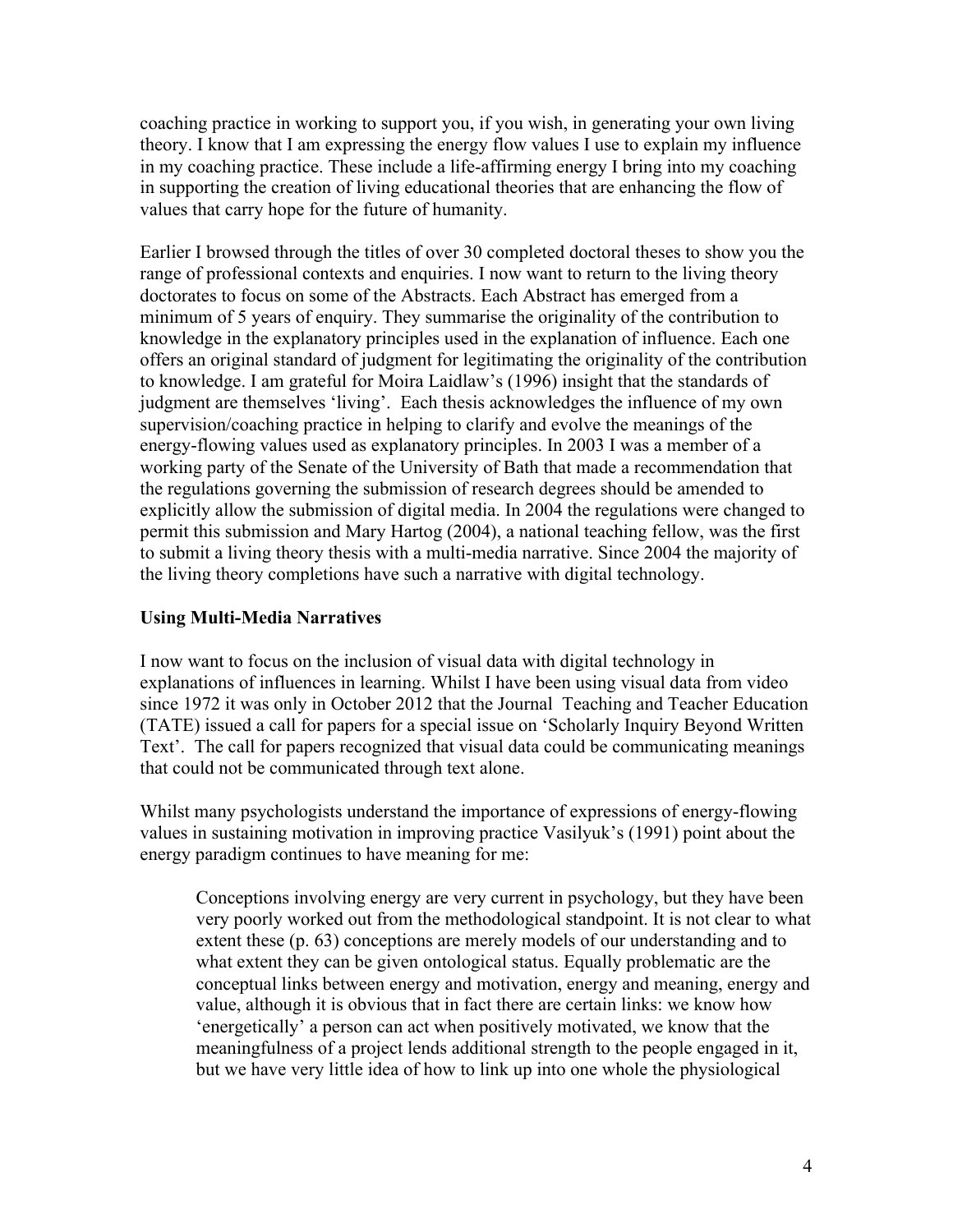coaching practice in working to support you, if you wish, in generating your own living theory. I know that I am expressing the energy flow values I use to explain my influence in my coaching practice. These include a life-affirming energy I bring into my coaching in supporting the creation of living educational theories that are enhancing the flow of values that carry hope for the future of humanity.

Earlier I browsed through the titles of over 30 completed doctoral theses to show you the range of professional contexts and enquiries. I now want to return to the living theory doctorates to focus on some of the Abstracts. Each Abstract has emerged from a minimum of 5 years of enquiry. They summarise the originality of the contribution to knowledge in the explanatory principles used in the explanation of influence. Each one offers an original standard of judgment for legitimating the originality of the contribution to knowledge. I am grateful for Moira Laidlaw's (1996) insight that the standards of judgment are themselves 'living'. Each thesis acknowledges the influence of my own supervision/coaching practice in helping to clarify and evolve the meanings of the energy-flowing values used as explanatory principles. In 2003 I was a member of a working party of the Senate of the University of Bath that made a recommendation that the regulations governing the submission of research degrees should be amended to explicitly allow the submission of digital media. In 2004 the regulations were changed to permit this submission and Mary Hartog (2004), a national teaching fellow, was the first to submit a living theory thesis with a multi-media narrative. Since 2004 the majority of the living theory completions have such a narrative with digital technology.

## **Using Multi-Media Narratives**

I now want to focus on the inclusion of visual data with digital technology in explanations of influences in learning. Whilst I have been using visual data from video since 1972 it was only in October 2012 that the Journal Teaching and Teacher Education (TATE) issued a call for papers for a special issue on 'Scholarly Inquiry Beyond Written Text'. The call for papers recognized that visual data could be communicating meanings that could not be communicated through text alone.

Whilst many psychologists understand the importance of expressions of energy-flowing values in sustaining motivation in improving practice Vasilyuk's (1991) point about the energy paradigm continues to have meaning for me:

Conceptions involving energy are very current in psychology, but they have been very poorly worked out from the methodological standpoint. It is not clear to what extent these (p. 63) conceptions are merely models of our understanding and to what extent they can be given ontological status. Equally problematic are the conceptual links between energy and motivation, energy and meaning, energy and value, although it is obvious that in fact there are certain links: we know how 'energetically' a person can act when positively motivated, we know that the meaningfulness of a project lends additional strength to the people engaged in it, but we have very little idea of how to link up into one whole the physiological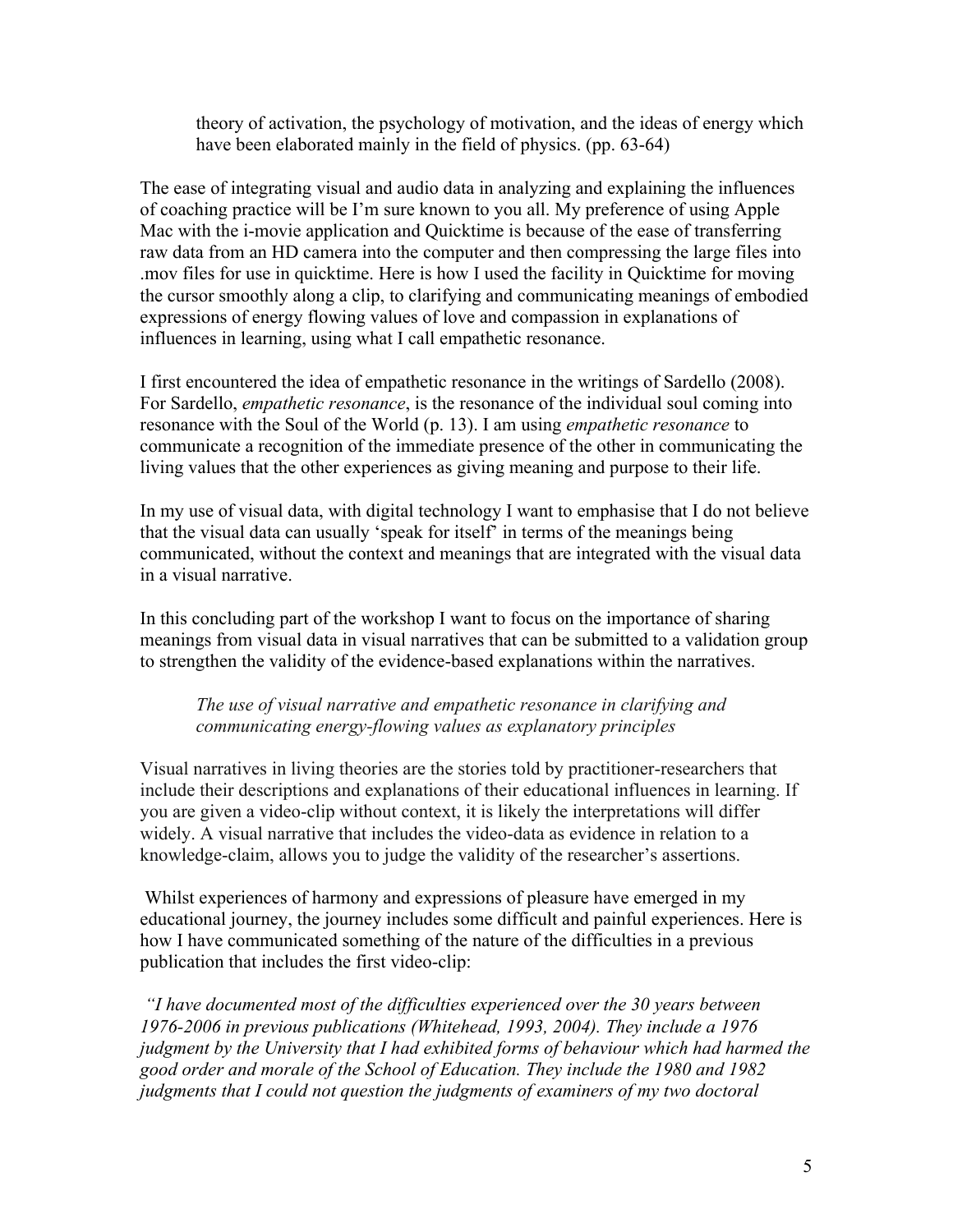theory of activation, the psychology of motivation, and the ideas of energy which have been elaborated mainly in the field of physics. (pp. 63-64)

The ease of integrating visual and audio data in analyzing and explaining the influences of coaching practice will be I'm sure known to you all. My preference of using Apple Mac with the i-movie application and Quicktime is because of the ease of transferring raw data from an HD camera into the computer and then compressing the large files into .mov files for use in quicktime. Here is how I used the facility in Quicktime for moving the cursor smoothly along a clip, to clarifying and communicating meanings of embodied expressions of energy flowing values of love and compassion in explanations of influences in learning, using what I call empathetic resonance.

I first encountered the idea of empathetic resonance in the writings of Sardello (2008). For Sardello, *empathetic resonance*, is the resonance of the individual soul coming into resonance with the Soul of the World (p. 13). I am using *empathetic resonance* to communicate a recognition of the immediate presence of the other in communicating the living values that the other experiences as giving meaning and purpose to their life.

In my use of visual data, with digital technology I want to emphasise that I do not believe that the visual data can usually 'speak for itself' in terms of the meanings being communicated, without the context and meanings that are integrated with the visual data in a visual narrative.

In this concluding part of the workshop I want to focus on the importance of sharing meanings from visual data in visual narratives that can be submitted to a validation group to strengthen the validity of the evidence-based explanations within the narratives.

*The use of visual narrative and empathetic resonance in clarifying and communicating energy-flowing values as explanatory principles*

Visual narratives in living theories are the stories told by practitioner-researchers that include their descriptions and explanations of their educational influences in learning. If you are given a video-clip without context, it is likely the interpretations will differ widely. A visual narrative that includes the video-data as evidence in relation to a knowledge-claim, allows you to judge the validity of the researcher's assertions.

Whilst experiences of harmony and expressions of pleasure have emerged in my educational journey, the journey includes some difficult and painful experiences. Here is how I have communicated something of the nature of the difficulties in a previous publication that includes the first video-clip:

 *"I have documented most of the difficulties experienced over the 30 years between 1976-2006 in previous publications (Whitehead, 1993, 2004). They include a 1976 judgment by the University that I had exhibited forms of behaviour which had harmed the good order and morale of the School of Education. They include the 1980 and 1982 judgments that I could not question the judgments of examiners of my two doctoral*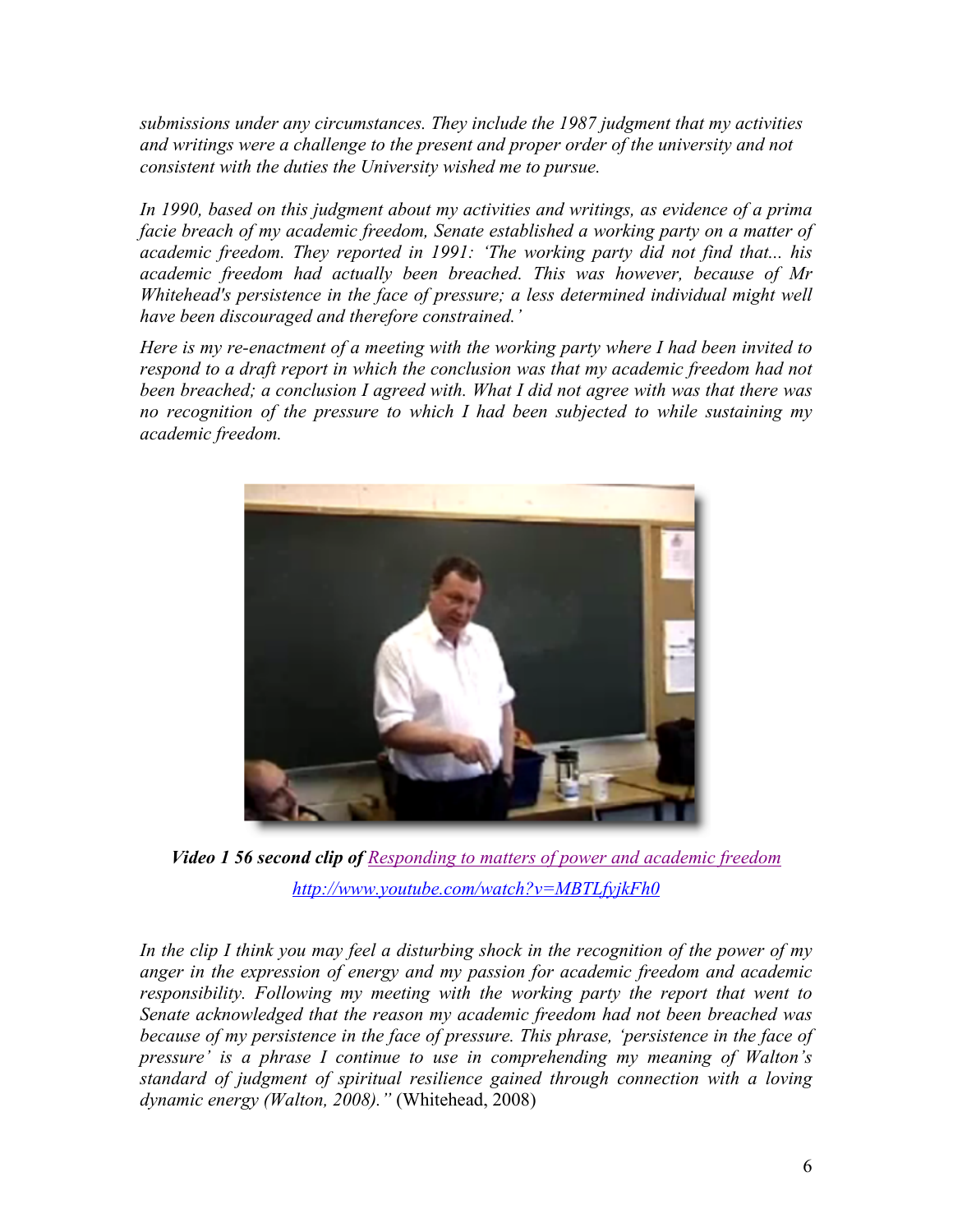*submissions under any circumstances. They include the 1987 judgment that my activities and writings were a challenge to the present and proper order of the university and not consistent with the duties the University wished me to pursue.*

*In 1990, based on this judgment about my activities and writings, as evidence of a prima facie breach of my academic freedom, Senate established a working party on a matter of academic freedom. They reported in 1991: 'The working party did not find that... his academic freedom had actually been breached. This was however, because of Mr Whitehead's persistence in the face of pressure; a less determined individual might well have been discouraged and therefore constrained.'*

*Here is my re-enactment of a meeting with the working party where I had been invited to respond to a draft report in which the conclusion was that my academic freedom had not been breached; a conclusion I agreed with. What I did not agree with was that there was no recognition of the pressure to which I had been subjected to while sustaining my academic freedom.*



*Video 1 56 second clip of Responding to matters of power and academic freedom http://www.youtube.com/watch?v=MBTLfyjkFh0*

*In the clip I think you may feel a disturbing shock in the recognition of the power of my anger in the expression of energy and my passion for academic freedom and academic responsibility. Following my meeting with the working party the report that went to Senate acknowledged that the reason my academic freedom had not been breached was because of my persistence in the face of pressure. This phrase, 'persistence in the face of pressure' is a phrase I continue to use in comprehending my meaning of Walton's standard of judgment of spiritual resilience gained through connection with a loving dynamic energy (Walton, 2008)."* (Whitehead, 2008)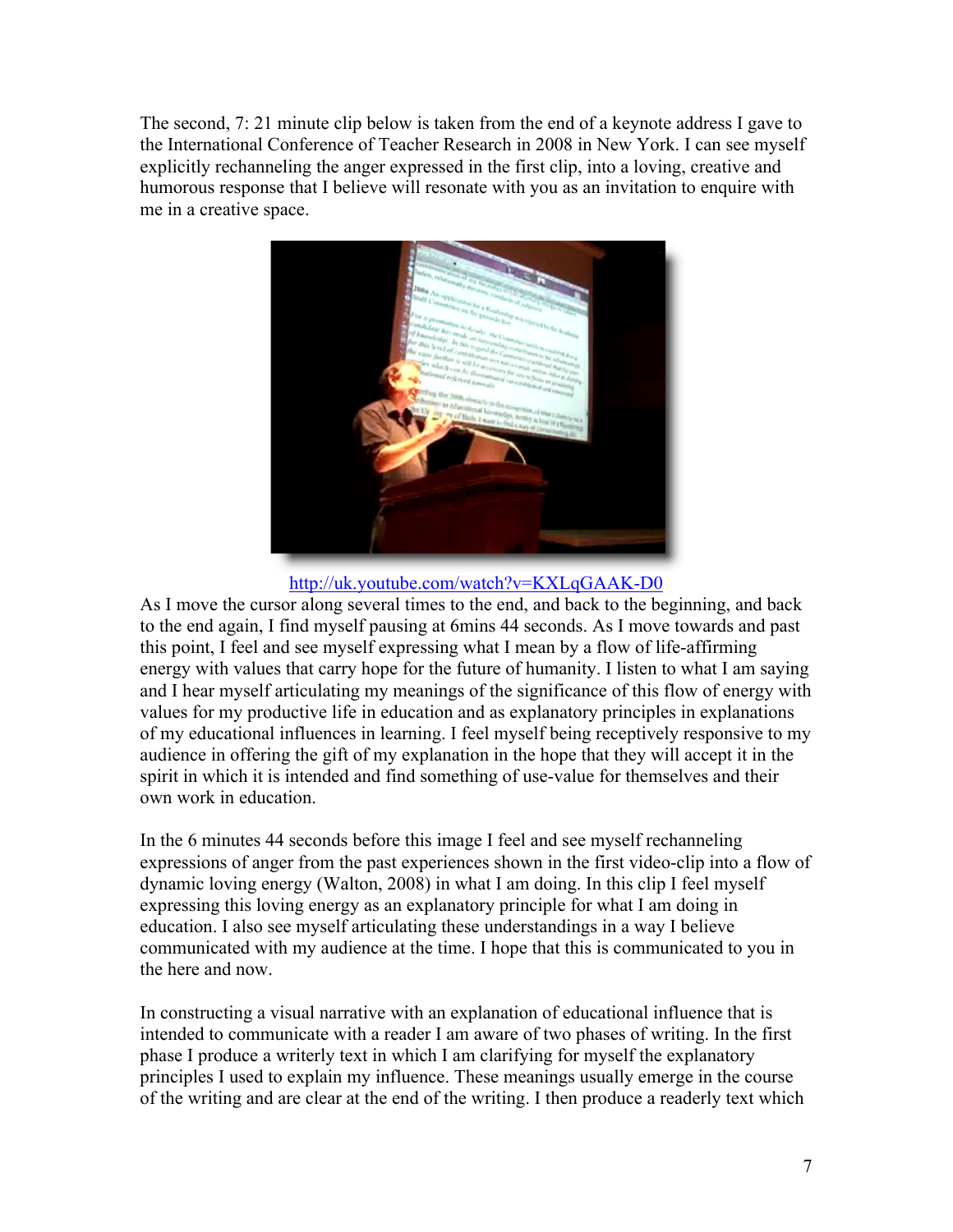The second, 7: 21 minute clip below is taken from the end of a keynote address I gave to the International Conference of Teacher Research in 2008 in New York. I can see myself explicitly rechanneling the anger expressed in the first clip, into a loving, creative and humorous response that I believe will resonate with you as an invitation to enquire with me in a creative space.



http://uk.youtube.com/watch?v=KXLqGAAK-D0

As I move the cursor along several times to the end, and back to the beginning, and back to the end again, I find myself pausing at 6mins 44 seconds. As I move towards and past this point, I feel and see myself expressing what I mean by a flow of life-affirming energy with values that carry hope for the future of humanity. I listen to what I am saying and I hear myself articulating my meanings of the significance of this flow of energy with values for my productive life in education and as explanatory principles in explanations of my educational influences in learning. I feel myself being receptively responsive to my audience in offering the gift of my explanation in the hope that they will accept it in the spirit in which it is intended and find something of use-value for themselves and their own work in education.

In the 6 minutes 44 seconds before this image I feel and see myself rechanneling expressions of anger from the past experiences shown in the first video-clip into a flow of dynamic loving energy (Walton, 2008) in what I am doing. In this clip I feel myself expressing this loving energy as an explanatory principle for what I am doing in education. I also see myself articulating these understandings in a way I believe communicated with my audience at the time. I hope that this is communicated to you in the here and now.

In constructing a visual narrative with an explanation of educational influence that is intended to communicate with a reader I am aware of two phases of writing. In the first phase I produce a writerly text in which I am clarifying for myself the explanatory principles I used to explain my influence. These meanings usually emerge in the course of the writing and are clear at the end of the writing. I then produce a readerly text which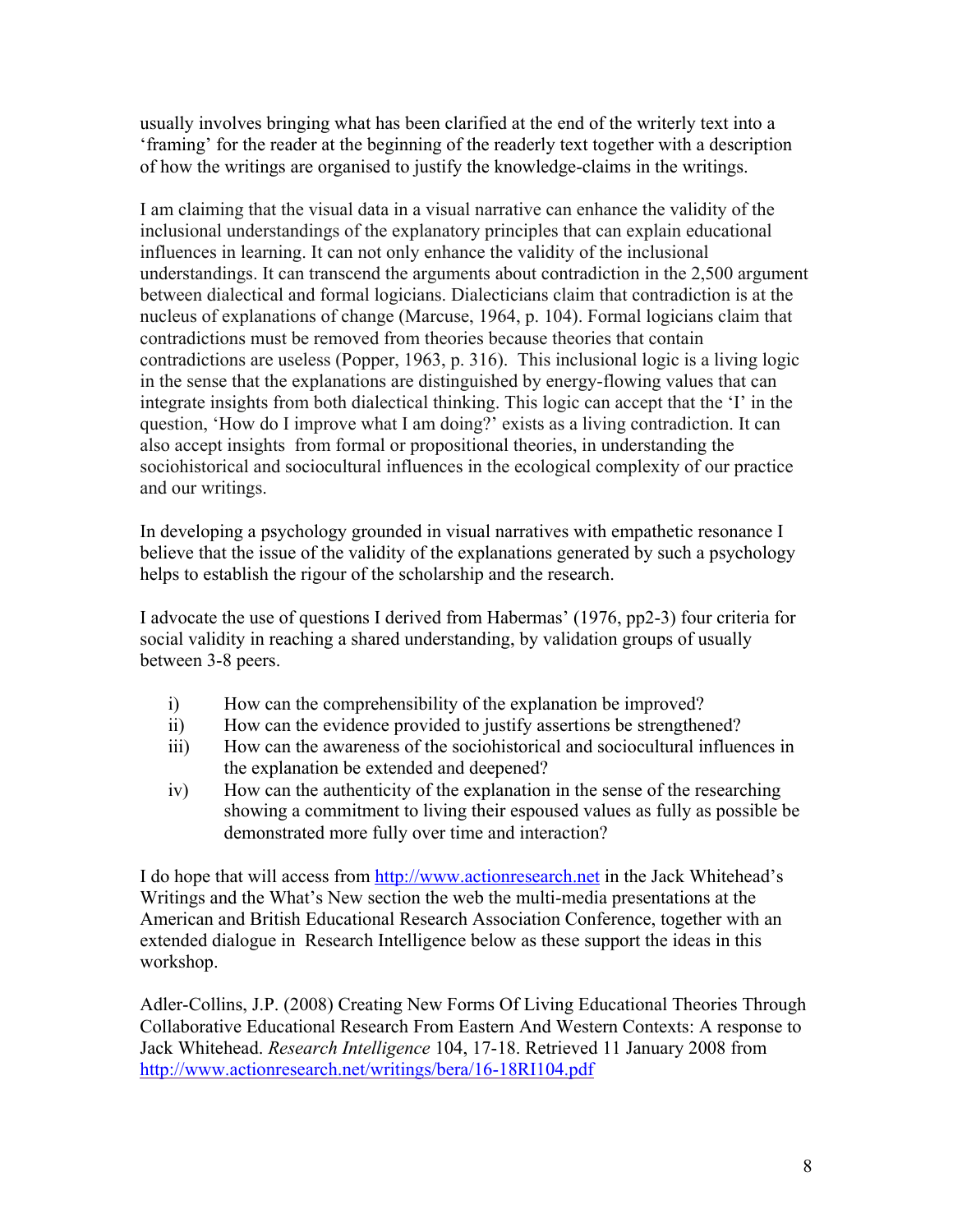usually involves bringing what has been clarified at the end of the writerly text into a 'framing' for the reader at the beginning of the readerly text together with a description of how the writings are organised to justify the knowledge-claims in the writings.

I am claiming that the visual data in a visual narrative can enhance the validity of the inclusional understandings of the explanatory principles that can explain educational influences in learning. It can not only enhance the validity of the inclusional understandings. It can transcend the arguments about contradiction in the 2,500 argument between dialectical and formal logicians. Dialecticians claim that contradiction is at the nucleus of explanations of change (Marcuse, 1964, p. 104). Formal logicians claim that contradictions must be removed from theories because theories that contain contradictions are useless (Popper, 1963, p. 316). This inclusional logic is a living logic in the sense that the explanations are distinguished by energy-flowing values that can integrate insights from both dialectical thinking. This logic can accept that the 'I' in the question, 'How do I improve what I am doing?' exists as a living contradiction. It can also accept insights from formal or propositional theories, in understanding the sociohistorical and sociocultural influences in the ecological complexity of our practice and our writings.

In developing a psychology grounded in visual narratives with empathetic resonance I believe that the issue of the validity of the explanations generated by such a psychology helps to establish the rigour of the scholarship and the research.

I advocate the use of questions I derived from Habermas' (1976, pp2-3) four criteria for social validity in reaching a shared understanding, by validation groups of usually between 3-8 peers.

- i) How can the comprehensibility of the explanation be improved?
- ii) How can the evidence provided to justify assertions be strengthened?
- iii) How can the awareness of the sociohistorical and sociocultural influences in the explanation be extended and deepened?
- iv) How can the authenticity of the explanation in the sense of the researching showing a commitment to living their espoused values as fully as possible be demonstrated more fully over time and interaction?

I do hope that will access from http://www.actionresearch.net in the Jack Whitehead's Writings and the What's New section the web the multi-media presentations at the American and British Educational Research Association Conference, together with an extended dialogue in Research Intelligence below as these support the ideas in this workshop.

Adler-Collins, J.P. (2008) Creating New Forms Of Living Educational Theories Through Collaborative Educational Research From Eastern And Western Contexts: A response to Jack Whitehead. *Research Intelligence* 104, 17-18. Retrieved 11 January 2008 from http://www.actionresearch.net/writings/bera/16-18RI104.pdf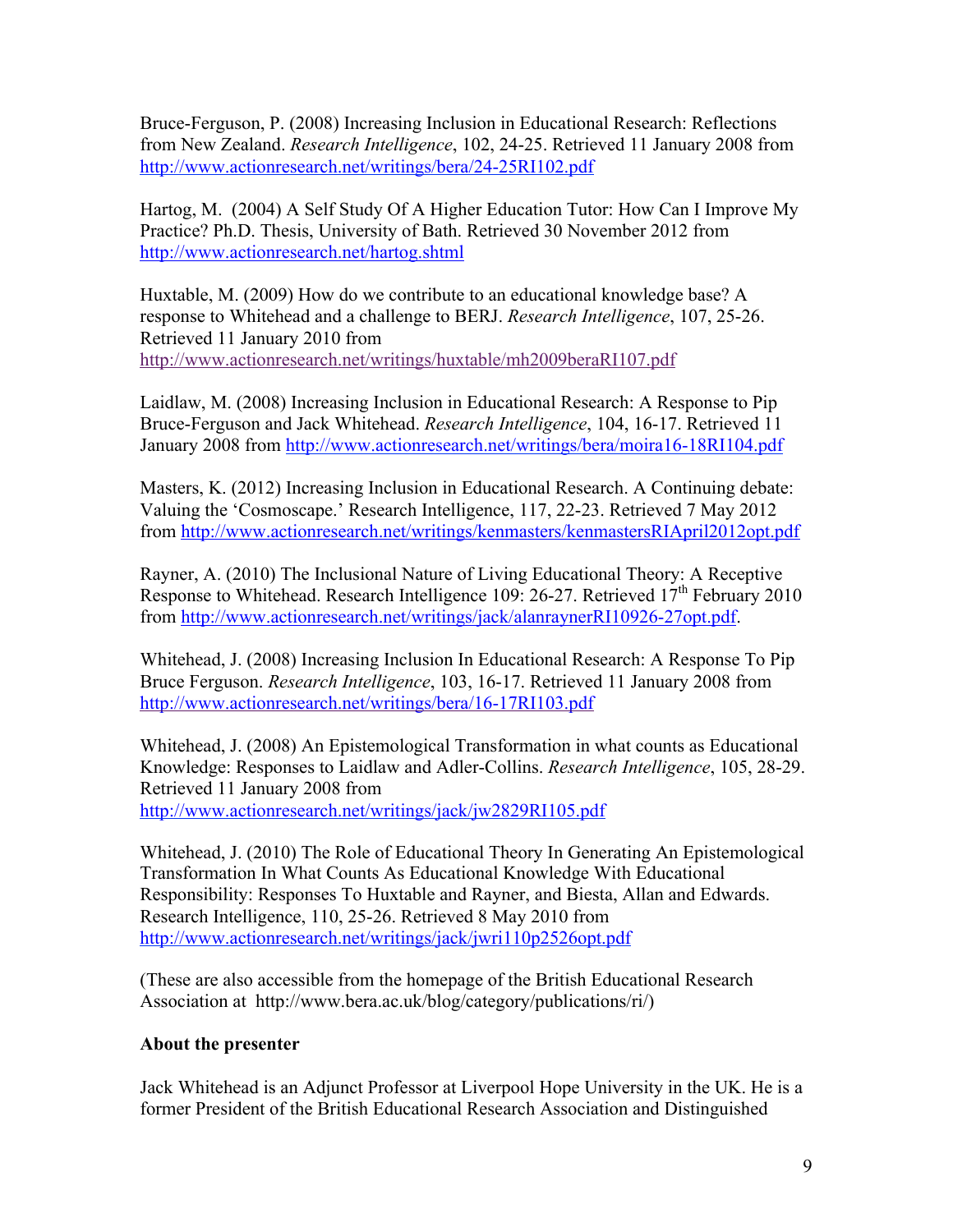Bruce-Ferguson, P. (2008) Increasing Inclusion in Educational Research: Reflections from New Zealand. *Research Intelligence*, 102, 24-25. Retrieved 11 January 2008 from http://www.actionresearch.net/writings/bera/24-25RI102.pdf

Hartog, M. (2004) A Self Study Of A Higher Education Tutor: How Can I Improve My Practice? Ph.D. Thesis, University of Bath. Retrieved 30 November 2012 from http://www.actionresearch.net/hartog.shtml

Huxtable, M. (2009) How do we contribute to an educational knowledge base? A response to Whitehead and a challenge to BERJ. *Research Intelligence*, 107, 25-26. Retrieved 11 January 2010 from http://www.actionresearch.net/writings/huxtable/mh2009beraRI107.pdf

Laidlaw, M. (2008) Increasing Inclusion in Educational Research: A Response to Pip Bruce-Ferguson and Jack Whitehead. *Research Intelligence*, 104, 16-17. Retrieved 11 January 2008 from http://www.actionresearch.net/writings/bera/moira16-18RI104.pdf

Masters, K. (2012) Increasing Inclusion in Educational Research. A Continuing debate: Valuing the 'Cosmoscape.' Research Intelligence, 117, 22-23. Retrieved 7 May 2012 from http://www.actionresearch.net/writings/kenmasters/kenmastersRIApril2012opt.pdf

Rayner, A. (2010) The Inclusional Nature of Living Educational Theory: A Receptive Response to Whitehead. Research Intelligence 109: 26-27. Retrieved  $17<sup>th</sup>$  February 2010 from http://www.actionresearch.net/writings/jack/alanraynerRI10926-27opt.pdf.

Whitehead, J. (2008) Increasing Inclusion In Educational Research: A Response To Pip Bruce Ferguson. *Research Intelligence*, 103, 16-17. Retrieved 11 January 2008 from http://www.actionresearch.net/writings/bera/16-17RI103.pdf

Whitehead, J. (2008) An Epistemological Transformation in what counts as Educational Knowledge: Responses to Laidlaw and Adler-Collins. *Research Intelligence*, 105, 28-29. Retrieved 11 January 2008 from

http://www.actionresearch.net/writings/jack/jw2829RI105.pdf

Whitehead, J. (2010) The Role of Educational Theory In Generating An Epistemological Transformation In What Counts As Educational Knowledge With Educational Responsibility: Responses To Huxtable and Rayner, and Biesta, Allan and Edwards. Research Intelligence, 110, 25-26. Retrieved 8 May 2010 from http://www.actionresearch.net/writings/jack/jwri110p2526opt.pdf

(These are also accessible from the homepage of the British Educational Research Association at http://www.bera.ac.uk/blog/category/publications/ri/)

## **About the presenter**

Jack Whitehead is an Adjunct Professor at Liverpool Hope University in the UK. He is a former President of the British Educational Research Association and Distinguished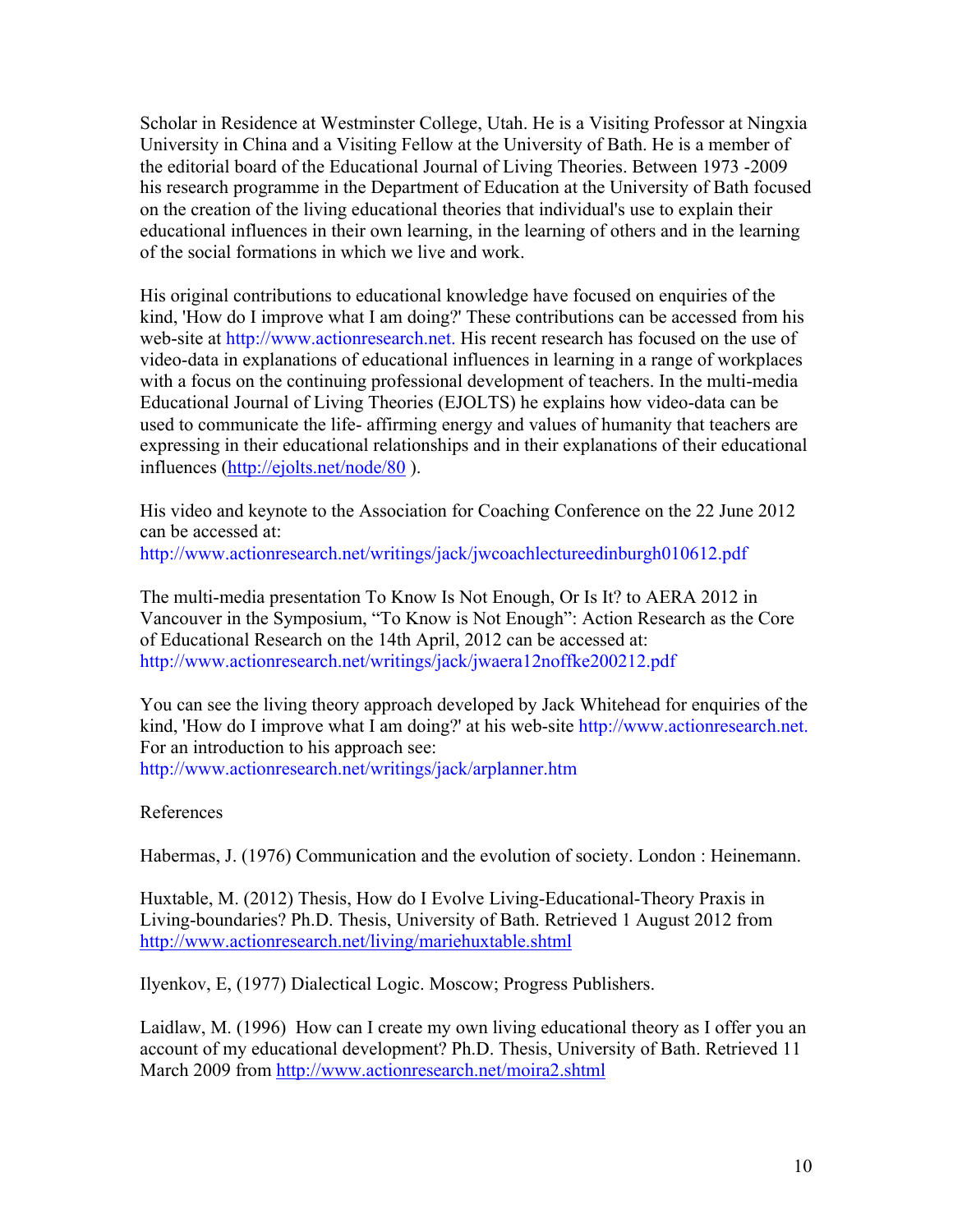Scholar in Residence at Westminster College, Utah. He is a Visiting Professor at Ningxia University in China and a Visiting Fellow at the University of Bath. He is a member of the editorial board of the Educational Journal of Living Theories. Between 1973 -2009 his research programme in the Department of Education at the University of Bath focused on the creation of the living educational theories that individual's use to explain their educational influences in their own learning, in the learning of others and in the learning of the social formations in which we live and work.

His original contributions to educational knowledge have focused on enquiries of the kind, 'How do I improve what I am doing?' These contributions can be accessed from his web-site at http://www.actionresearch.net. His recent research has focused on the use of video-data in explanations of educational influences in learning in a range of workplaces with a focus on the continuing professional development of teachers. In the multi-media Educational Journal of Living Theories (EJOLTS) he explains how video-data can be used to communicate the life- affirming energy and values of humanity that teachers are expressing in their educational relationships and in their explanations of their educational influences (http://ejolts.net/node/80 ).

His video and keynote to the Association for Coaching Conference on the 22 June 2012 can be accessed at: http://www.actionresearch.net/writings/jack/jwcoachlectureedinburgh010612.pdf

The multi-media presentation To Know Is Not Enough, Or Is It? to AERA 2012 in Vancouver in the Symposium, "To Know is Not Enough": Action Research as the Core of Educational Research on the 14th April, 2012 can be accessed at: http://www.actionresearch.net/writings/jack/jwaera12noffke200212.pdf

You can see the living theory approach developed by Jack Whitehead for enquiries of the kind, 'How do I improve what I am doing?' at his web-site http://www.actionresearch.net. For an introduction to his approach see: http://www.actionresearch.net/writings/jack/arplanner.htm

#### References

Habermas, J. (1976) Communication and the evolution of society. London : Heinemann.

Huxtable, M. (2012) Thesis, How do I Evolve Living-Educational-Theory Praxis in Living-boundaries? Ph.D. Thesis, University of Bath. Retrieved 1 August 2012 from http://www.actionresearch.net/living/mariehuxtable.shtml

Ilyenkov, E, (1977) Dialectical Logic. Moscow; Progress Publishers.

Laidlaw, M. (1996) How can I create my own living educational theory as I offer you an account of my educational development? Ph.D. Thesis, University of Bath. Retrieved 11 March 2009 from http://www.actionresearch.net/moira2.shtml